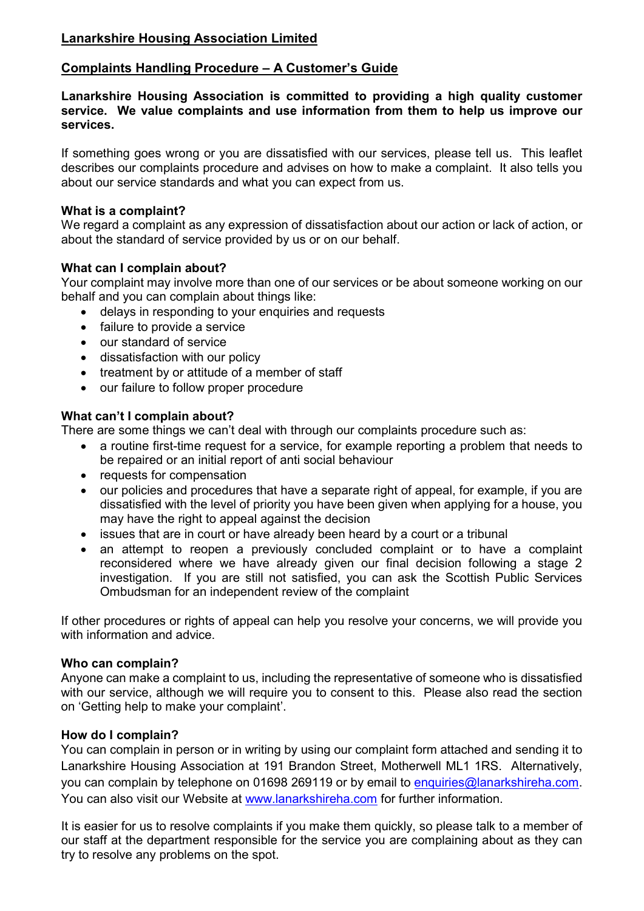# **Lanarkshire Housing Association Limited**

# **Complaints Handling Procedure – A Customer's Guide**

**Lanarkshire Housing Association is committed to providing a high quality customer service. We value complaints and use information from them to help us improve our services.**

If something goes wrong or you are dissatisfied with our services, please tell us. This leaflet describes our complaints procedure and advises on how to make a complaint. It also tells you about our service standards and what you can expect from us.

### **What is a complaint?**

We regard a complaint as any expression of dissatisfaction about our action or lack of action, or about the standard of service provided by us or on our behalf.

# **What can I complain about?**

Your complaint may involve more than one of our services or be about someone working on our behalf and you can complain about things like:

- delays in responding to your enquiries and requests
- failure to provide a service
- our standard of service
- dissatisfaction with our policy
- treatment by or attitude of a member of staff
- our failure to follow proper procedure

# **What can't I complain about?**

There are some things we can't deal with through our complaints procedure such as:

- a routine first-time request for a service, for example reporting a problem that needs to be repaired or an initial report of anti social behaviour
- requests for compensation
- our policies and procedures that have a separate right of appeal, for example, if you are dissatisfied with the level of priority you have been given when applying for a house, you may have the right to appeal against the decision
- issues that are in court or have already been heard by a court or a tribunal
- an attempt to reopen a previously concluded complaint or to have a complaint reconsidered where we have already given our final decision following a stage 2 investigation. If you are still not satisfied, you can ask the Scottish Public Services Ombudsman for an independent review of the complaint

If other procedures or rights of appeal can help you resolve your concerns, we will provide you with information and advice

#### **Who can complain?**

Anyone can make a complaint to us, including the representative of someone who is dissatisfied with our service, although we will require you to consent to this. Please also read the section on 'Getting help to make your complaint'.

#### **How do I complain?**

You can complain in person or in writing by using our complaint form attached and sending it to Lanarkshire Housing Association at 191 Brandon Street, Motherwell ML1 1RS. Alternatively, you can complain by telephone on 01698 269119 or by email to [enquiries@lanarkshireha.com.](mailto:enquiries@lanarkshireha.com) You can also visit our Website at [www.lanarkshireha.com](http://www.lanarkshireha.com/) for further information.

It is easier for us to resolve complaints if you make them quickly, so please talk to a member of our staff at the department responsible for the service you are complaining about as they can try to resolve any problems on the spot.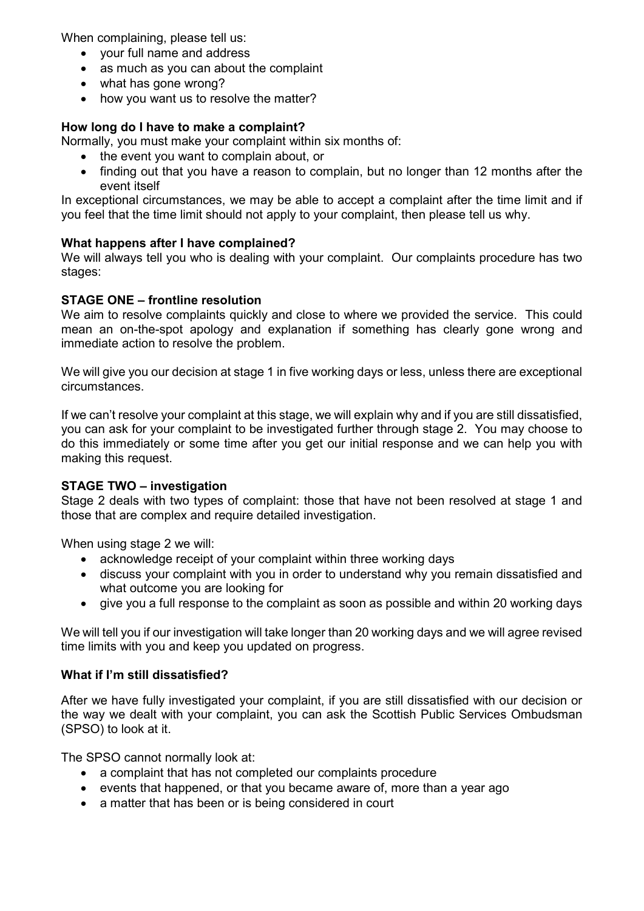When complaining, please tell us:

- your full name and address
- as much as you can about the complaint
- what has gone wrong?
- how you want us to resolve the matter?

# **How long do I have to make a complaint?**

Normally, you must make your complaint within six months of:

- the event you want to complain about, or
- finding out that you have a reason to complain, but no longer than 12 months after the event itself

In exceptional circumstances, we may be able to accept a complaint after the time limit and if you feel that the time limit should not apply to your complaint, then please tell us why.

# **What happens after I have complained?**

We will always tell you who is dealing with your complaint. Our complaints procedure has two stages:

#### **STAGE ONE – frontline resolution**

We aim to resolve complaints quickly and close to where we provided the service. This could mean an on-the-spot apology and explanation if something has clearly gone wrong and immediate action to resolve the problem.

We will give you our decision at stage 1 in five working days or less, unless there are exceptional circumstances.

If we can't resolve your complaint at this stage, we will explain why and if you are still dissatisfied, you can ask for your complaint to be investigated further through stage 2. You may choose to do this immediately or some time after you get our initial response and we can help you with making this request.

#### **STAGE TWO – investigation**

Stage 2 deals with two types of complaint: those that have not been resolved at stage 1 and those that are complex and require detailed investigation.

When using stage 2 we will:

- acknowledge receipt of your complaint within three working days
- discuss your complaint with you in order to understand why you remain dissatisfied and what outcome you are looking for
- give you a full response to the complaint as soon as possible and within 20 working days

We will tell you if our investigation will take longer than 20 working days and we will agree revised time limits with you and keep you updated on progress.

#### **What if I'm still dissatisfied?**

After we have fully investigated your complaint, if you are still dissatisfied with our decision or the way we dealt with your complaint, you can ask the Scottish Public Services Ombudsman (SPSO) to look at it.

The SPSO cannot normally look at:

- a complaint that has not completed our complaints procedure
- events that happened, or that you became aware of, more than a vear ago
- a matter that has been or is being considered in court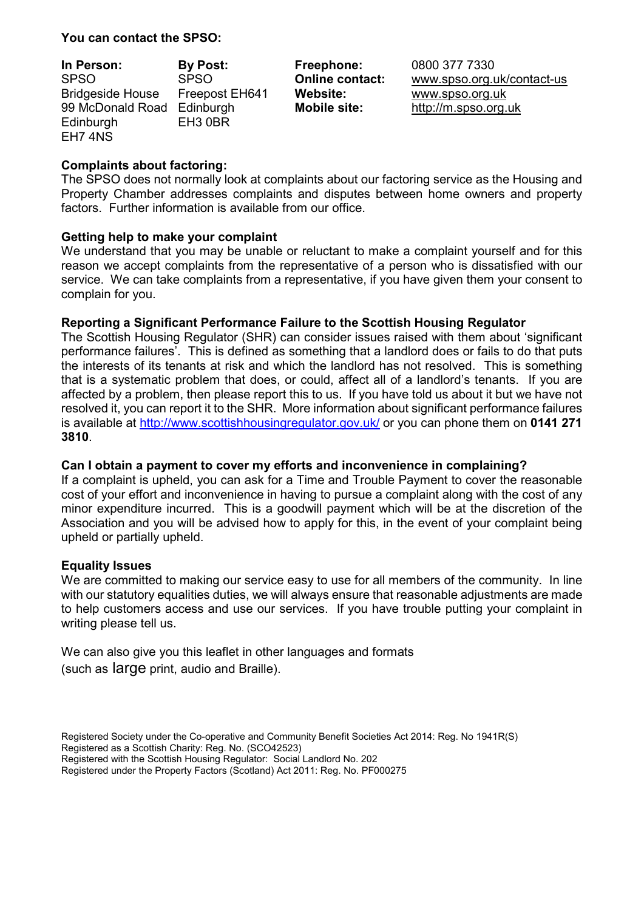**You can contact the SPSO:**

| In Person:                 | <b>By Post:</b>     |
|----------------------------|---------------------|
| <b>SPSO</b>                | <b>SPSO</b>         |
| <b>Bridgeside House</b>    | Freepost EH641      |
| 99 McDonald Road Edinburgh |                     |
| Edinburgh                  | EH <sub>3</sub> 0BR |
| EH7 4NS                    |                     |

**In Person: By Post: Freephone:** 0800 377 7330 **Online contact:** www.spso.org.uk/contact-us **Website:** www.spso.org.uk **Mobile site:** http://m.spso.org.uk

# **Complaints about factoring:**

The SPSO does not normally look at complaints about our factoring service as the Housing and Property Chamber addresses complaints and disputes between home owners and property factors. Further information is available from our office.

# **Getting help to make your complaint**

We understand that you may be unable or reluctant to make a complaint yourself and for this reason we accept complaints from the representative of a person who is dissatisfied with our service. We can take complaints from a representative, if you have given them your consent to complain for you.

# **Reporting a Significant Performance Failure to the Scottish Housing Regulator**

The Scottish Housing Regulator (SHR) can consider issues raised with them about 'significant performance failures'. This is defined as something that a landlord does or fails to do that puts the interests of its tenants at risk and which the landlord has not resolved. This is something that is a systematic problem that does, or could, affect all of a landlord's tenants. If you are affected by a problem, then please report this to us. If you have told us about it but we have not resolved it, you can report it to the SHR. More information about significant performance failures is available at<http://www.scottishhousingregulator.gov.uk/> or you can phone them on **0141 271 3810**.

# **Can I obtain a payment to cover my efforts and inconvenience in complaining?**

If a complaint is upheld, you can ask for a Time and Trouble Payment to cover the reasonable cost of your effort and inconvenience in having to pursue a complaint along with the cost of any minor expenditure incurred. This is a goodwill payment which will be at the discretion of the Association and you will be advised how to apply for this, in the event of your complaint being upheld or partially upheld.

#### **Equality Issues**

We are committed to making our service easy to use for all members of the community. In line with our statutory equalities duties, we will always ensure that reasonable adjustments are made to help customers access and use our services. If you have trouble putting your complaint in writing please tell us.

We can also give you this leaflet in other languages and formats (such as large print, audio and Braille).

- Registered Society under the Co-operative and Community Benefit Societies Act 2014: Reg. No 1941R(S)
- Registered as a Scottish Charity: Reg. No. (SCO42523)

Registered with the Scottish Housing Regulator: Social Landlord No. 202

Registered under the Property Factors (Scotland) Act 2011: Reg. No. PF000275